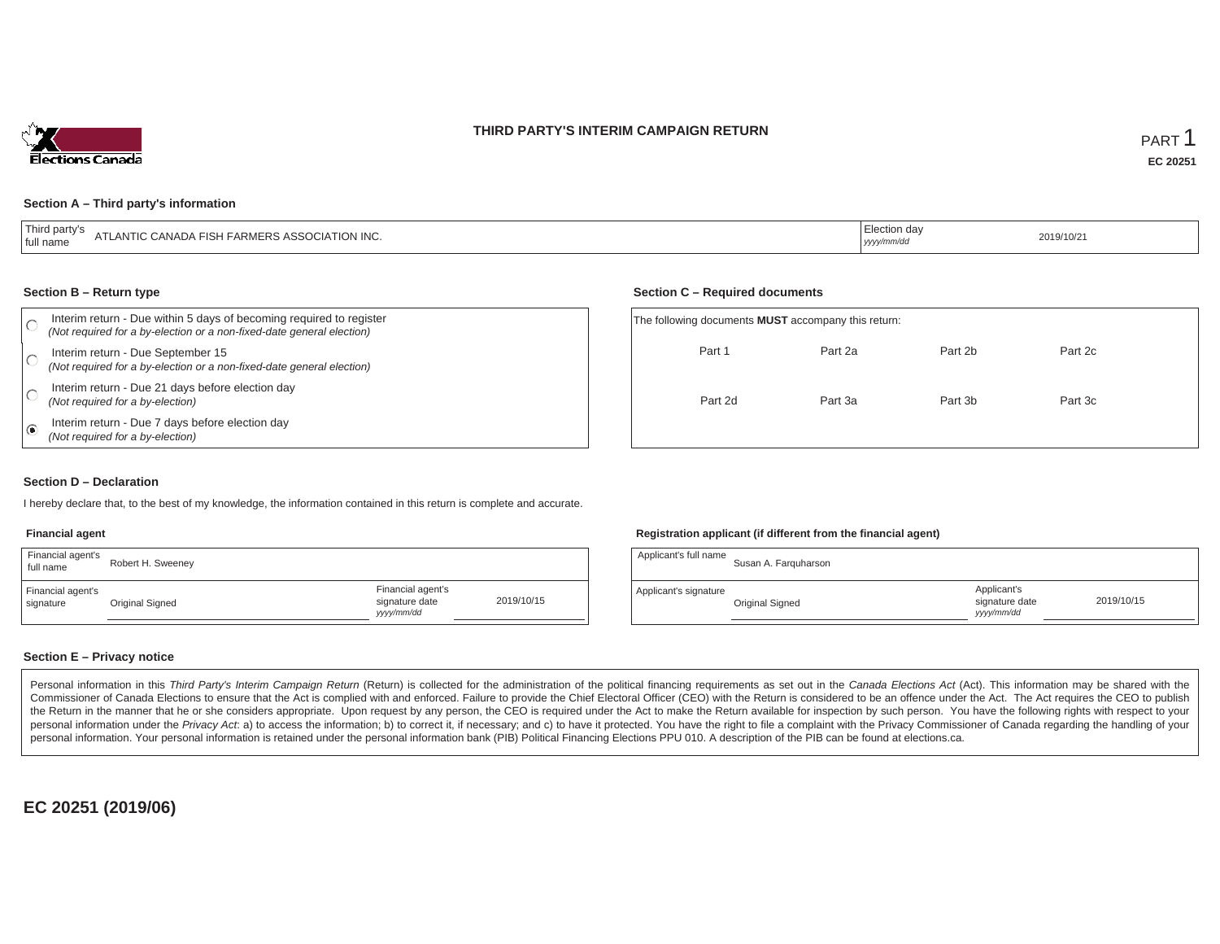### **THIRD PARTY'S INTERIM CAMPAIGN RETURN**



#### **Section A – Third party's information**

| $-\mathbf{r}$<br>י narr<br>"LANTIC CANADA FISH FARMERS ASSOCIATION INC.<br>A L<br>⊥full name | ection da<br>yyyy/mm/dc | 2019/10/21 |
|----------------------------------------------------------------------------------------------|-------------------------|------------|
|----------------------------------------------------------------------------------------------|-------------------------|------------|

#### **Section B – Return type**

|     | Interim return - Due within 5 days of becoming required to register<br>(Not required for a by-election or a non-fixed-date general election) | The following documents <b>MUST</b> accompany this return: |         |         |         |  |
|-----|----------------------------------------------------------------------------------------------------------------------------------------------|------------------------------------------------------------|---------|---------|---------|--|
|     | Interim return - Due September 15<br>(Not required for a by-election or a non-fixed-date general election)                                   | Part 1                                                     | Part 2a | Part 2b | Part 2c |  |
|     | Interim return - Due 21 days before election day<br>(Not required for a by-election)                                                         | Part 2d                                                    | Part 3a | Part 3b | Part 3c |  |
| . ေ | Interim return - Due 7 days before election day<br>(Not required for a by-election)                                                          |                                                            |         |         |         |  |

#### **Section D – Declaration**

I hereby declare that, to the best of my knowledge, the information contained in this return is complete and accurate.

### **Financial agent**

| Financial agent's<br>full name | Robert H. Sweeney |                                                  |            |
|--------------------------------|-------------------|--------------------------------------------------|------------|
| Financial agent's<br>signature | Original Signed   | Financial agent's<br>signature date<br>vyy/mm/dd | 2019/10/15 |

#### **Registration applicant (if different from the financial agent)**

**Section C – Required documents**

| Applicant's full name | Susan A. Farguharson |                                            |            |
|-----------------------|----------------------|--------------------------------------------|------------|
| Applicant's signature | Original Signed      | Applicant's<br>signature date<br>yyy/mm/dd | 2019/10/15 |

### **Section E – Privacy notice**

Personal information in this Third Party's Interim Campaign Return (Return) is collected for the administration of the political financing requirements as set out in the Canada Elections Act (Act). This information may be Commissioner of Canada Elections to ensure that the Act is complied with and enforced. Failure to provide the Chief Electoral Officer (CEO) with the Return is considered to be an offence under the Act. The Act requires the the Return in the manner that he or she considers appropriate. Upon request by any person, the CEO is required under the Act to make the Return available for inspection by such person. You have the following rights with re personal information under the Privacy Act. a) to access the information; b) to correct it, if necessary; and c) to have it protected. You have the right to file a complaint with the Privacy Commissioner of Canada regardin personal information. Your personal information is retained under the personal information bank (PIB) Political Financing Elections PPU 010. A description of the PIB can be found at elections.ca.

**EC 20251 (2019/06)**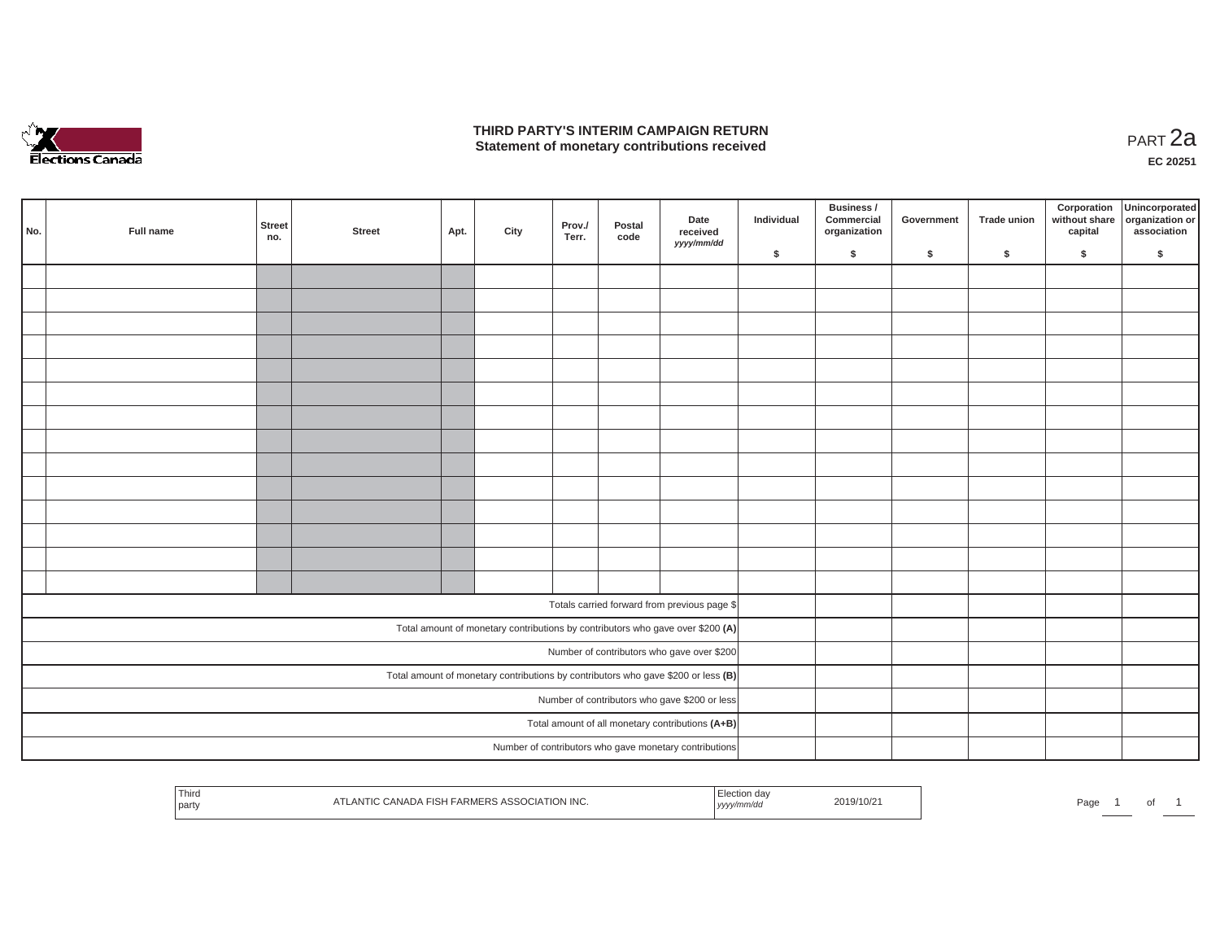

## **THIRD PARTY'S INTERIM CAMPAIGN RETURN THIRD PARTY'S INTERIM CAMPAIGN RETURN<br>Statement of monetary contributions received PART 2a**

| No.<br>Full name | <b>Street</b><br>no. | <b>Street</b> | Apt. | City | Prov./<br>Terr. | Postal<br>code | Date<br>received<br>yyyy/mm/dd                                                    | Individual | Business /<br>Commercial<br>organization | Government | Trade union | Corporation | Unincorporated<br>without share<br>capital dissociation or<br>association |
|------------------|----------------------|---------------|------|------|-----------------|----------------|-----------------------------------------------------------------------------------|------------|------------------------------------------|------------|-------------|-------------|---------------------------------------------------------------------------|
|                  |                      |               |      |      |                 |                |                                                                                   | \$         | \$                                       | \$         | $\sqrt{2}$  | \$          | \$                                                                        |
|                  |                      |               |      |      |                 |                |                                                                                   |            |                                          |            |             |             |                                                                           |
|                  |                      |               |      |      |                 |                |                                                                                   |            |                                          |            |             |             |                                                                           |
|                  |                      |               |      |      |                 |                |                                                                                   |            |                                          |            |             |             |                                                                           |
|                  |                      |               |      |      |                 |                |                                                                                   |            |                                          |            |             |             |                                                                           |
|                  |                      |               |      |      |                 |                |                                                                                   |            |                                          |            |             |             |                                                                           |
|                  |                      |               |      |      |                 |                |                                                                                   |            |                                          |            |             |             |                                                                           |
|                  |                      |               |      |      |                 |                |                                                                                   |            |                                          |            |             |             |                                                                           |
|                  |                      |               |      |      |                 |                |                                                                                   |            |                                          |            |             |             |                                                                           |
|                  |                      |               |      |      |                 |                |                                                                                   |            |                                          |            |             |             |                                                                           |
|                  |                      |               |      |      |                 |                |                                                                                   |            |                                          |            |             |             |                                                                           |
|                  |                      |               |      |      |                 |                |                                                                                   |            |                                          |            |             |             |                                                                           |
|                  |                      |               |      |      |                 |                |                                                                                   |            |                                          |            |             |             |                                                                           |
|                  |                      |               |      |      |                 |                |                                                                                   |            |                                          |            |             |             |                                                                           |
|                  |                      |               |      |      |                 |                |                                                                                   |            |                                          |            |             |             |                                                                           |
|                  |                      |               |      |      |                 |                | Totals carried forward from previous page \$                                      |            |                                          |            |             |             |                                                                           |
|                  |                      |               |      |      |                 |                | Total amount of monetary contributions by contributors who gave over \$200 (A)    |            |                                          |            |             |             |                                                                           |
|                  |                      |               |      |      |                 |                | Number of contributors who gave over \$200                                        |            |                                          |            |             |             |                                                                           |
|                  |                      |               |      |      |                 |                | Total amount of monetary contributions by contributors who gave \$200 or less (B) |            |                                          |            |             |             |                                                                           |
|                  |                      |               |      |      |                 |                | Number of contributors who gave \$200 or less                                     |            |                                          |            |             |             |                                                                           |
|                  |                      |               |      |      |                 |                | Total amount of all monetary contributions (A+B)                                  |            |                                          |            |             |             |                                                                           |
|                  |                      |               |      |      |                 |                | Number of contributors who gave monetary contributions                            |            |                                          |            |             |             |                                                                           |
|                  |                      |               |      |      |                 |                |                                                                                   |            |                                          |            |             |             |                                                                           |

| Thirc<br>ATLANTIC CANADA FISH FARMERS ASSOCIATION INC.<br>  party | ⊨lection daγ<br>2019/10/2<br>yyyy/mm/dd | Page<br>ັ |
|-------------------------------------------------------------------|-----------------------------------------|-----------|
|-------------------------------------------------------------------|-----------------------------------------|-----------|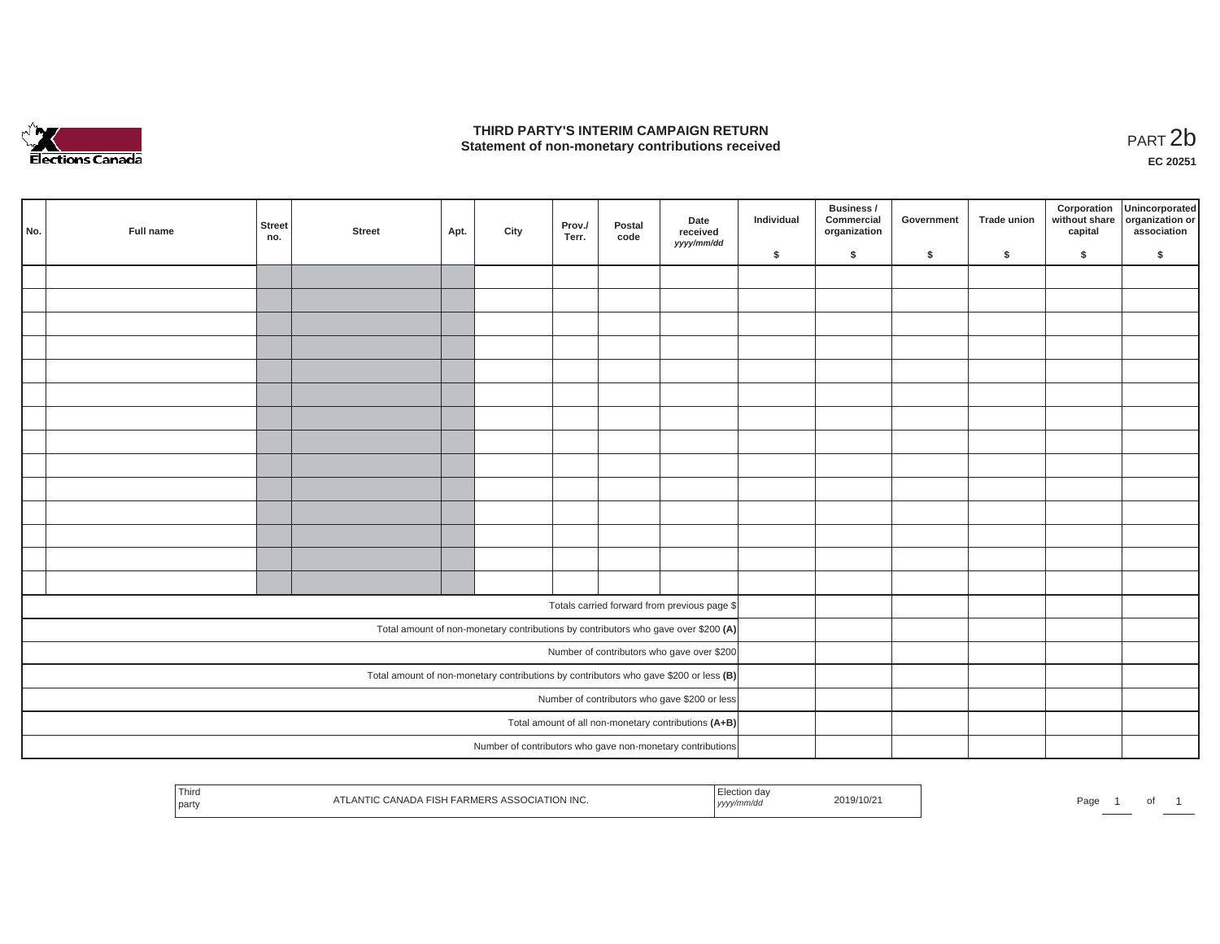

## **THIRD PARTY'S INTERIM CAMPAIGN RETURN**  THIRD PARTY'S INTERIM CAMPAIGN RETURN<br>Statement of non-monetary contributions received<br>**PART 2**b

**EC 20251**

|                                               | No. | Full name | Street<br>no. | <b>Street</b> | Apt. | City | Prov./<br>Terr. | Postal<br>code | Date<br>received<br>yyyy/mm/dd                                                        | Individual | Business /<br>Commercial<br>organization | Government | Trade union | Corporation<br>capital | Unincorporated<br>without share organization or<br>association |
|-----------------------------------------------|-----|-----------|---------------|---------------|------|------|-----------------|----------------|---------------------------------------------------------------------------------------|------------|------------------------------------------|------------|-------------|------------------------|----------------------------------------------------------------|
|                                               |     |           |               |               |      |      |                 |                |                                                                                       | \$         | $\mathsf{s}$                             | \$         | $\sqrt{2}$  | \$                     | \$                                                             |
|                                               |     |           |               |               |      |      |                 |                |                                                                                       |            |                                          |            |             |                        |                                                                |
|                                               |     |           |               |               |      |      |                 |                |                                                                                       |            |                                          |            |             |                        |                                                                |
|                                               |     |           |               |               |      |      |                 |                |                                                                                       |            |                                          |            |             |                        |                                                                |
|                                               |     |           |               |               |      |      |                 |                |                                                                                       |            |                                          |            |             |                        |                                                                |
|                                               |     |           |               |               |      |      |                 |                |                                                                                       |            |                                          |            |             |                        |                                                                |
|                                               |     |           |               |               |      |      |                 |                |                                                                                       |            |                                          |            |             |                        |                                                                |
|                                               |     |           |               |               |      |      |                 |                |                                                                                       |            |                                          |            |             |                        |                                                                |
|                                               |     |           |               |               |      |      |                 |                |                                                                                       |            |                                          |            |             |                        |                                                                |
|                                               |     |           |               |               |      |      |                 |                |                                                                                       |            |                                          |            |             |                        |                                                                |
|                                               |     |           |               |               |      |      |                 |                |                                                                                       |            |                                          |            |             |                        |                                                                |
|                                               |     |           |               |               |      |      |                 |                |                                                                                       |            |                                          |            |             |                        |                                                                |
|                                               |     |           |               |               |      |      |                 |                |                                                                                       |            |                                          |            |             |                        |                                                                |
|                                               |     |           |               |               |      |      |                 |                |                                                                                       |            |                                          |            |             |                        |                                                                |
|                                               |     |           |               |               |      |      |                 |                |                                                                                       |            |                                          |            |             |                        |                                                                |
|                                               |     |           |               |               |      |      |                 |                |                                                                                       |            |                                          |            |             |                        |                                                                |
|                                               |     |           |               |               |      |      |                 |                | Totals carried forward from previous page \$                                          |            |                                          |            |             |                        |                                                                |
|                                               |     |           |               |               |      |      |                 |                | Total amount of non-monetary contributions by contributors who gave over \$200 (A)    |            |                                          |            |             |                        |                                                                |
|                                               |     |           |               |               |      |      |                 |                | Number of contributors who gave over \$200                                            |            |                                          |            |             |                        |                                                                |
|                                               |     |           |               |               |      |      |                 |                | Total amount of non-monetary contributions by contributors who gave \$200 or less (B) |            |                                          |            |             |                        |                                                                |
| Number of contributors who gave \$200 or less |     |           |               |               |      |      |                 |                |                                                                                       |            |                                          |            |             |                        |                                                                |
|                                               |     |           |               |               |      |      |                 |                | Total amount of all non-monetary contributions (A+B)                                  |            |                                          |            |             |                        |                                                                |
|                                               |     |           |               |               |      |      |                 |                | Number of contributors who gave non-monetary contributions                            |            |                                          |            |             |                        |                                                                |
|                                               |     |           |               |               |      |      |                 |                |                                                                                       |            |                                          |            |             |                        |                                                                |

|  | ' I hira<br><b>ATION INC.</b><br>JANADA FISH<br>$-HK$ <sub>N</sub><br>ANIK<br>-רא<br>party | 2019/10/2<br>,,,,, | Page<br>$\cdot$ |
|--|--------------------------------------------------------------------------------------------|--------------------|-----------------|
|--|--------------------------------------------------------------------------------------------|--------------------|-----------------|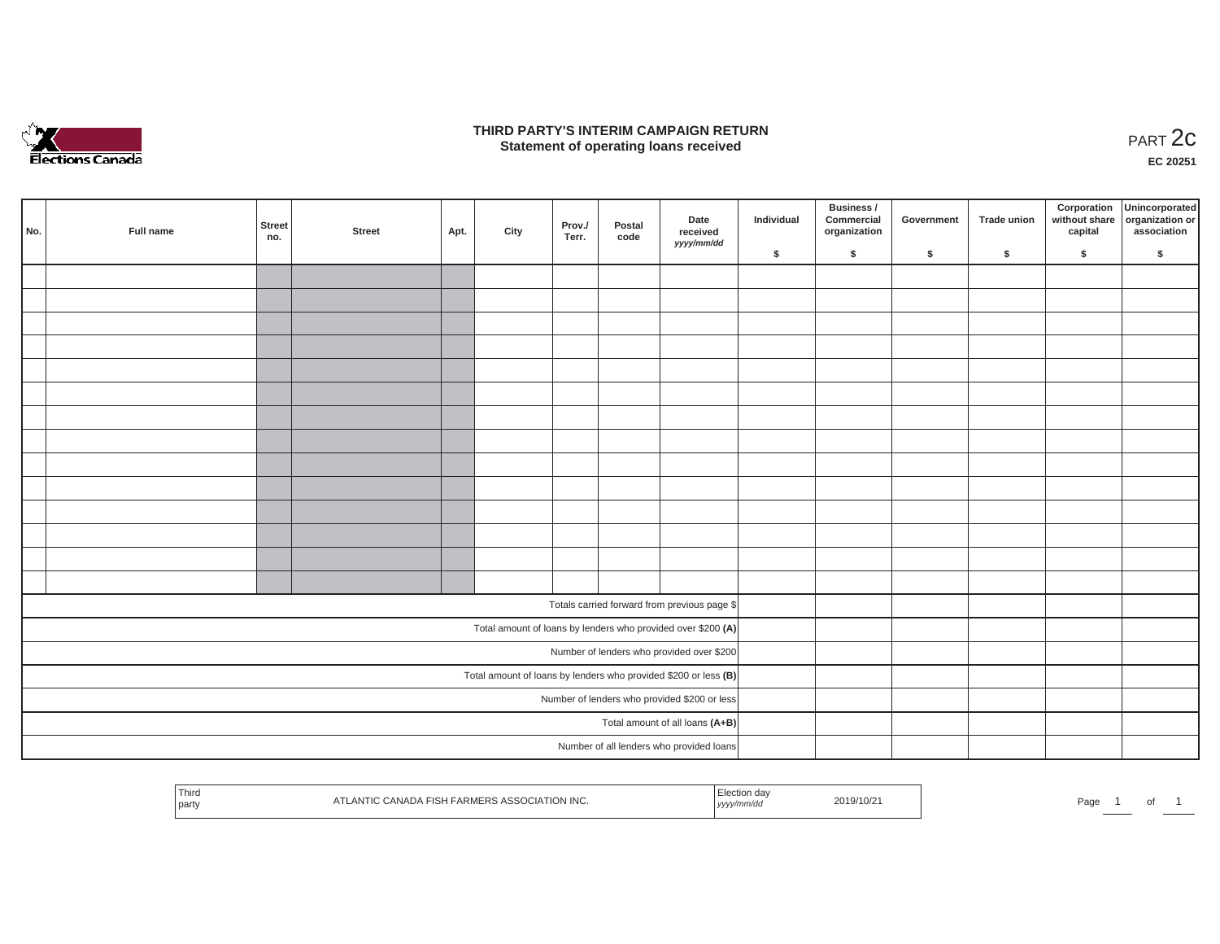

### **THIRD PARTY'S INTERIM CAMPAIGN RETURN**  RD PARTY'S INTERIM CAMPAIGN RETURN<br>Statement of operating loans received **PART 2c**

**EC 20251**

| No. | Full name | Street<br>no. | <b>Street</b> | Apt. | City | Prov./<br>Terr. | Postal<br>code | Date<br>received<br>yyyy/mm/dd                                  | Individual | <b>Business /</b><br>Commercial<br>organization | Government | Trade union | Corporation<br>capital | Unincorporated<br>without share organization or<br>association |
|-----|-----------|---------------|---------------|------|------|-----------------|----------------|-----------------------------------------------------------------|------------|-------------------------------------------------|------------|-------------|------------------------|----------------------------------------------------------------|
|     |           |               |               |      |      |                 |                |                                                                 | \$         | \$                                              | \$         | \$          | \$                     | \$                                                             |
|     |           |               |               |      |      |                 |                |                                                                 |            |                                                 |            |             |                        |                                                                |
|     |           |               |               |      |      |                 |                |                                                                 |            |                                                 |            |             |                        |                                                                |
|     |           |               |               |      |      |                 |                |                                                                 |            |                                                 |            |             |                        |                                                                |
|     |           |               |               |      |      |                 |                |                                                                 |            |                                                 |            |             |                        |                                                                |
|     |           |               |               |      |      |                 |                |                                                                 |            |                                                 |            |             |                        |                                                                |
|     |           |               |               |      |      |                 |                |                                                                 |            |                                                 |            |             |                        |                                                                |
|     |           |               |               |      |      |                 |                |                                                                 |            |                                                 |            |             |                        |                                                                |
|     |           |               |               |      |      |                 |                |                                                                 |            |                                                 |            |             |                        |                                                                |
|     |           |               |               |      |      |                 |                |                                                                 |            |                                                 |            |             |                        |                                                                |
|     |           |               |               |      |      |                 |                |                                                                 |            |                                                 |            |             |                        |                                                                |
|     |           |               |               |      |      |                 |                |                                                                 |            |                                                 |            |             |                        |                                                                |
|     |           |               |               |      |      |                 |                |                                                                 |            |                                                 |            |             |                        |                                                                |
|     |           |               |               |      |      |                 |                |                                                                 |            |                                                 |            |             |                        |                                                                |
|     |           |               |               |      |      |                 |                |                                                                 |            |                                                 |            |             |                        |                                                                |
|     |           |               |               |      |      |                 |                | Totals carried forward from previous page \$                    |            |                                                 |            |             |                        |                                                                |
|     |           |               |               |      |      |                 |                | Total amount of loans by lenders who provided over \$200 (A)    |            |                                                 |            |             |                        |                                                                |
|     |           |               |               |      |      |                 |                | Number of lenders who provided over \$200                       |            |                                                 |            |             |                        |                                                                |
|     |           |               |               |      |      |                 |                | Total amount of loans by lenders who provided \$200 or less (B) |            |                                                 |            |             |                        |                                                                |
|     |           |               |               |      |      |                 |                | Number of lenders who provided \$200 or less                    |            |                                                 |            |             |                        |                                                                |
|     |           |               |               |      |      |                 |                | Total amount of all loans (A+B)                                 |            |                                                 |            |             |                        |                                                                |
|     |           |               |               |      |      |                 |                | Number of all lenders who provided loans                        |            |                                                 |            |             |                        |                                                                |

| ,,,,, |  | Third<br>party | TION INC.<br>D.<br>$-11 -$ |  | /10/2<br>2012 <sup>-</sup> | Page |  |  |  |
|-------|--|----------------|----------------------------|--|----------------------------|------|--|--|--|
|-------|--|----------------|----------------------------|--|----------------------------|------|--|--|--|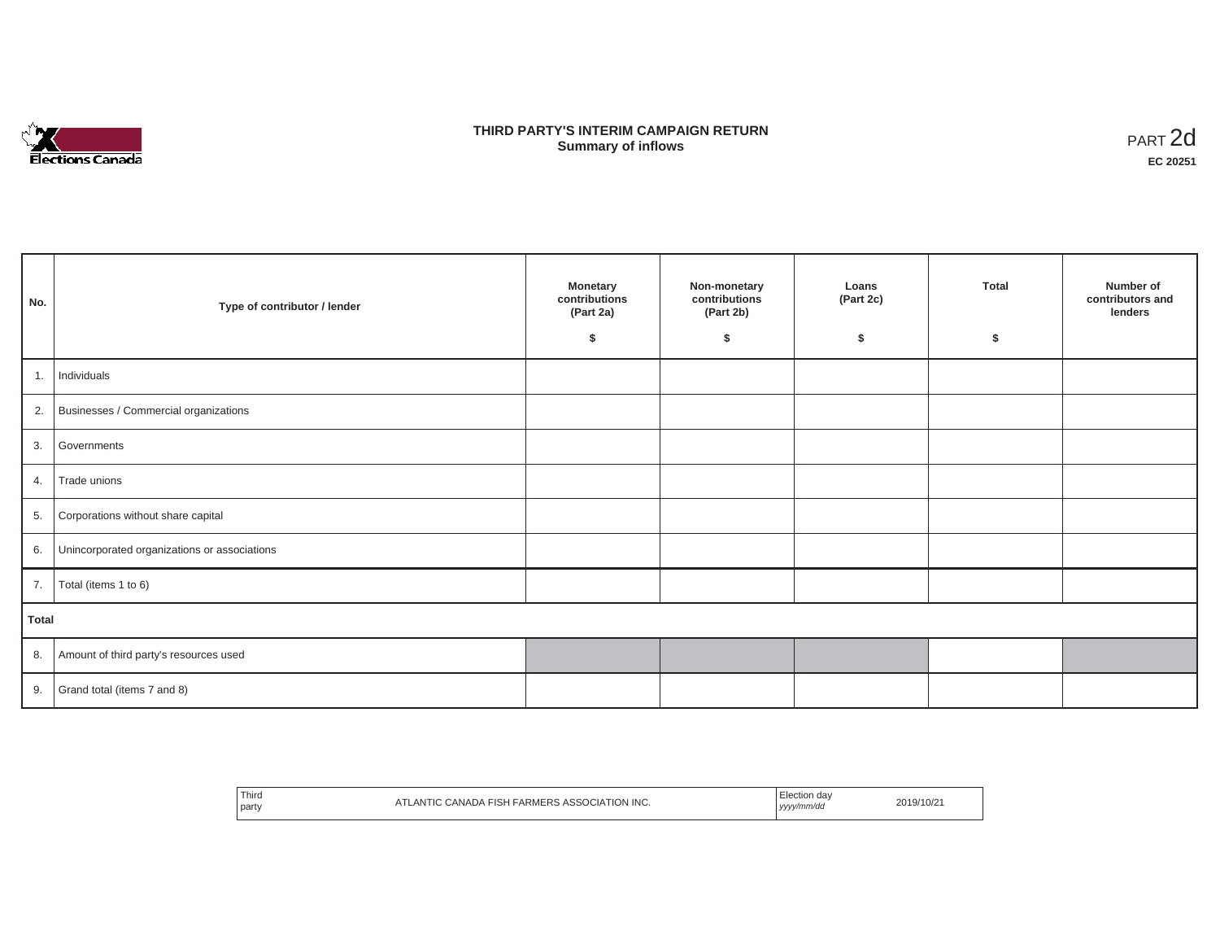

## **THIRD PARTY'S INTERIM CAMPAIGN RETURN SUMMARY STATE SUMMARY OF A SUMMARY OF A SUMMARY OF A SUMMARY OF A SUMMARY OF A SUMMARY OF A SUMMARY OF A SUMMA**<br> **Summary of inflows**

| No.          | Type of contributor / lender                 | <b>Monetary</b><br>contributions<br>(Part 2a)<br>\$ | Non-monetary<br>contributions<br>(Part 2b)<br>\$ | Loans<br>(Part 2c)<br>\$ | <b>Total</b><br>\$ | Number of<br>contributors and<br>lenders |
|--------------|----------------------------------------------|-----------------------------------------------------|--------------------------------------------------|--------------------------|--------------------|------------------------------------------|
| 1.           | Individuals                                  |                                                     |                                                  |                          |                    |                                          |
| 2.           | Businesses / Commercial organizations        |                                                     |                                                  |                          |                    |                                          |
| 3.           | Governments                                  |                                                     |                                                  |                          |                    |                                          |
| 4.           | Trade unions                                 |                                                     |                                                  |                          |                    |                                          |
| 5.           | Corporations without share capital           |                                                     |                                                  |                          |                    |                                          |
| 6.           | Unincorporated organizations or associations |                                                     |                                                  |                          |                    |                                          |
| 7.           | Total (items 1 to 6)                         |                                                     |                                                  |                          |                    |                                          |
| <b>Total</b> |                                              |                                                     |                                                  |                          |                    |                                          |
| 8.           | Amount of third party's resources used       |                                                     |                                                  |                          |                    |                                          |
| 9.           | Grand total (items 7 and 8)                  |                                                     |                                                  |                          |                    |                                          |

| Third<br><b>DCIATION INC.</b><br><b>FARMERS</b><br>eer<br>CANADA<br>LAN<br>FISH<br>party<br>.<br>$\sim$ | tion<br>u dav<br>yyyy/mm/dd<br>. | 2019/10/21 |
|---------------------------------------------------------------------------------------------------------|----------------------------------|------------|
|---------------------------------------------------------------------------------------------------------|----------------------------------|------------|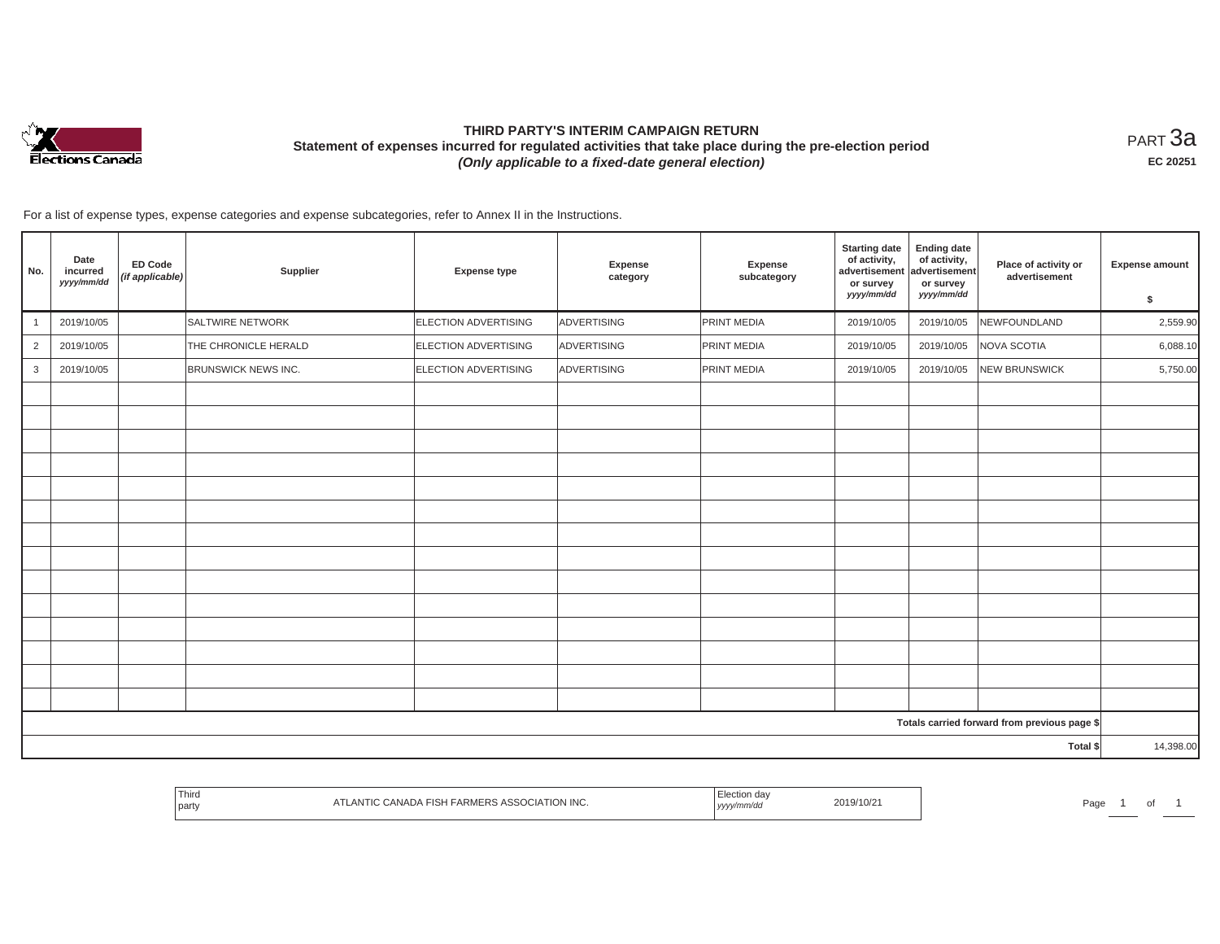

# **THIRD PARTY'S INTERIM CAMPAIGN RETURN Statement of expenses incurred for regulated activities that take place during the pre-election period**  *(Only applicable to a fixed-date general election)*

<code>PART $3$ a</code> **EC 20251**

For a list of expense types, expense categories and expense subcategories, refer to Annex II in the Instructions.

| No.            | Date<br>incurred<br>yyyy/mm/dd | ED Code<br>(if applicable) | Supplier                   | <b>Expense type</b>         | Expense<br>category | Expense<br>subcategory | <b>Starting date</b><br>of activity,<br>advertisement<br>or survey<br>yyyy/mm/dd | <b>Ending date</b><br>of activity,<br>advertisement<br>or survey<br>yyyy/mm/dd | Place of activity or<br>advertisement        | <b>Expense amount</b><br>\$ |
|----------------|--------------------------------|----------------------------|----------------------------|-----------------------------|---------------------|------------------------|----------------------------------------------------------------------------------|--------------------------------------------------------------------------------|----------------------------------------------|-----------------------------|
| $\overline{1}$ | 2019/10/05                     |                            | <b>SALTWIRE NETWORK</b>    | ELECTION ADVERTISING        | ADVERTISING         | PRINT MEDIA            | 2019/10/05                                                                       | 2019/10/05                                                                     | NEWFOUNDLAND                                 | 2,559.90                    |
| $\overline{2}$ | 2019/10/05                     |                            | THE CHRONICLE HERALD       | ELECTION ADVERTISING        | ADVERTISING         | PRINT MEDIA            | 2019/10/05                                                                       | 2019/10/05                                                                     | NOVA SCOTIA                                  | 6,088.10                    |
| 3              | 2019/10/05                     |                            | <b>BRUNSWICK NEWS INC.</b> | <b>ELECTION ADVERTISING</b> | ADVERTISING         | PRINT MEDIA            | 2019/10/05                                                                       | 2019/10/05                                                                     | <b>NEW BRUNSWICK</b>                         | 5,750.00                    |
|                |                                |                            |                            |                             |                     |                        |                                                                                  |                                                                                |                                              |                             |
|                |                                |                            |                            |                             |                     |                        |                                                                                  |                                                                                |                                              |                             |
|                |                                |                            |                            |                             |                     |                        |                                                                                  |                                                                                |                                              |                             |
|                |                                |                            |                            |                             |                     |                        |                                                                                  |                                                                                |                                              |                             |
|                |                                |                            |                            |                             |                     |                        |                                                                                  |                                                                                |                                              |                             |
|                |                                |                            |                            |                             |                     |                        |                                                                                  |                                                                                |                                              |                             |
|                |                                |                            |                            |                             |                     |                        |                                                                                  |                                                                                |                                              |                             |
|                |                                |                            |                            |                             |                     |                        |                                                                                  |                                                                                |                                              |                             |
|                |                                |                            |                            |                             |                     |                        |                                                                                  |                                                                                |                                              |                             |
|                |                                |                            |                            |                             |                     |                        |                                                                                  |                                                                                |                                              |                             |
|                |                                |                            |                            |                             |                     |                        |                                                                                  |                                                                                |                                              |                             |
|                |                                |                            |                            |                             |                     |                        |                                                                                  |                                                                                |                                              |                             |
|                |                                |                            |                            |                             |                     |                        |                                                                                  |                                                                                |                                              |                             |
|                |                                |                            |                            |                             |                     |                        |                                                                                  |                                                                                |                                              |                             |
|                |                                |                            |                            |                             |                     |                        |                                                                                  |                                                                                |                                              |                             |
|                |                                |                            |                            |                             |                     |                        |                                                                                  |                                                                                | Totals carried forward from previous page \$ |                             |
|                |                                |                            |                            |                             |                     |                        |                                                                                  |                                                                                | Total \$                                     | 14,398.00                   |

|  | Third<br>  party | 1011110<br>.<br>ATION ING.<br>111 I IV VAIVE<br>71 L | ua<br>mmvuu<br>, yyyy | 9/10/2 | <b>Service Controllers</b><br>Page | $\sim$<br>ັ |  |
|--|------------------|------------------------------------------------------|-----------------------|--------|------------------------------------|-------------|--|
|--|------------------|------------------------------------------------------|-----------------------|--------|------------------------------------|-------------|--|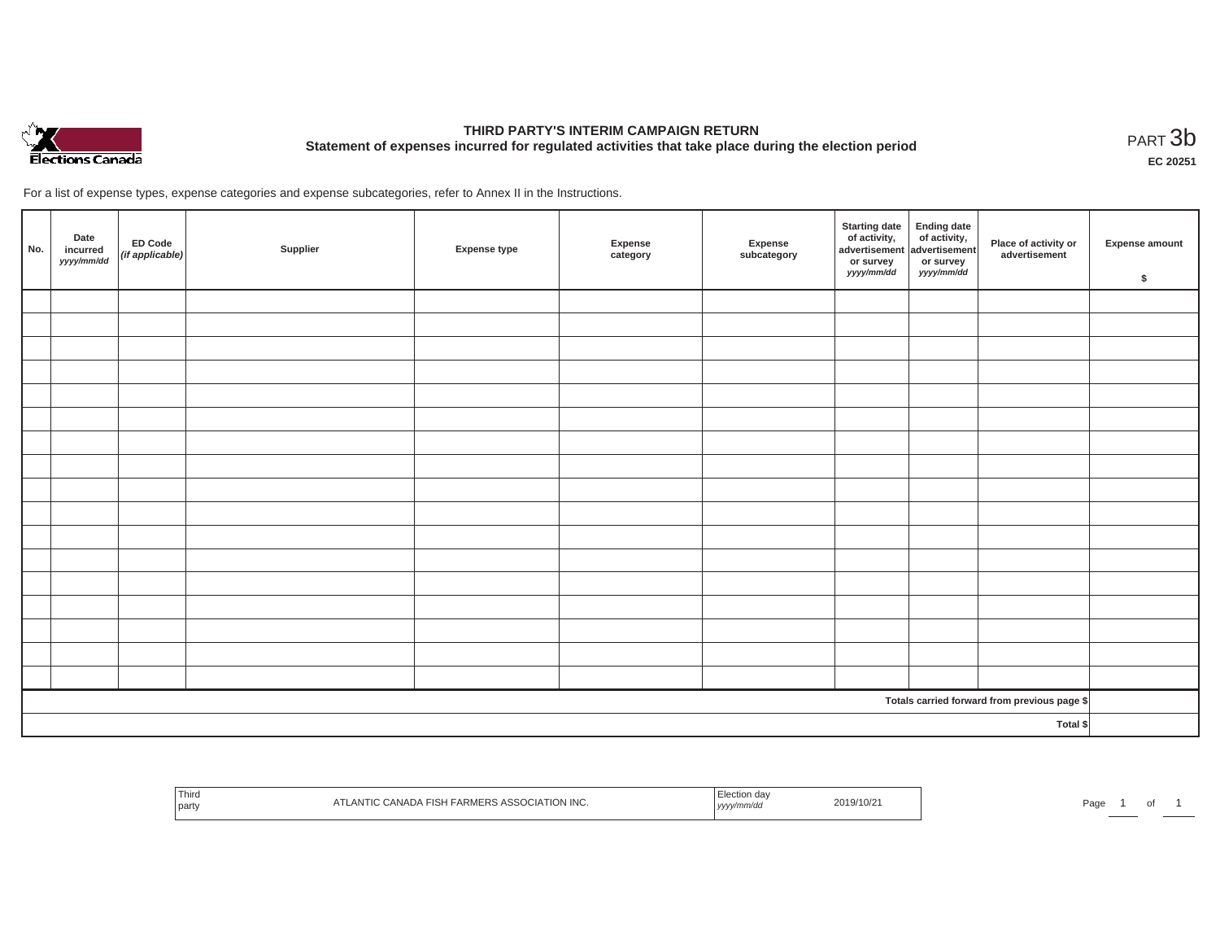

# **THIRD PARTY'S INTERIM CAMPAIGN RETURN Statement of expenses incurred for regulated activities that take place during the election period**<br>PART  $3\text{b}$

**EC 20251**

For a list of expense types, expense categories and expense subcategories, refer to Annex II in the Instructions.

| No.                                          | Date<br>incurred<br>yyyy/mm/dd | ED Code<br>(if applicable) | Supplier | <b>Expense type</b> | Expense<br>category | Expense<br>subcategory | Starting date<br>of activity,<br>advertisement<br>advertisement<br>dvertisement<br>advertisement<br>advertisement<br>advertisement<br>dvertisement<br>advertisement<br>advertisement<br>advertisement<br>advertisement<br>advertisement<br>advertisement<br><br>or survey<br>yyyy/mm/dd | or survey<br><i>yyyy/mm/dd</i> | Place of activity or<br>advertisement | Expense amount<br>\$ |
|----------------------------------------------|--------------------------------|----------------------------|----------|---------------------|---------------------|------------------------|-----------------------------------------------------------------------------------------------------------------------------------------------------------------------------------------------------------------------------------------------------------------------------------------|--------------------------------|---------------------------------------|----------------------|
|                                              |                                |                            |          |                     |                     |                        |                                                                                                                                                                                                                                                                                         |                                |                                       |                      |
|                                              |                                |                            |          |                     |                     |                        |                                                                                                                                                                                                                                                                                         |                                |                                       |                      |
|                                              |                                |                            |          |                     |                     |                        |                                                                                                                                                                                                                                                                                         |                                |                                       |                      |
|                                              |                                |                            |          |                     |                     |                        |                                                                                                                                                                                                                                                                                         |                                |                                       |                      |
|                                              |                                |                            |          |                     |                     |                        |                                                                                                                                                                                                                                                                                         |                                |                                       |                      |
|                                              |                                |                            |          |                     |                     |                        |                                                                                                                                                                                                                                                                                         |                                |                                       |                      |
|                                              |                                |                            |          |                     |                     |                        |                                                                                                                                                                                                                                                                                         |                                |                                       |                      |
|                                              |                                |                            |          |                     |                     |                        |                                                                                                                                                                                                                                                                                         |                                |                                       |                      |
|                                              |                                |                            |          |                     |                     |                        |                                                                                                                                                                                                                                                                                         |                                |                                       |                      |
|                                              |                                |                            |          |                     |                     |                        |                                                                                                                                                                                                                                                                                         |                                |                                       |                      |
|                                              |                                |                            |          |                     |                     |                        |                                                                                                                                                                                                                                                                                         |                                |                                       |                      |
|                                              |                                |                            |          |                     |                     |                        |                                                                                                                                                                                                                                                                                         |                                |                                       |                      |
|                                              |                                |                            |          |                     |                     |                        |                                                                                                                                                                                                                                                                                         |                                |                                       |                      |
|                                              |                                |                            |          |                     |                     |                        |                                                                                                                                                                                                                                                                                         |                                |                                       |                      |
|                                              |                                |                            |          |                     |                     |                        |                                                                                                                                                                                                                                                                                         |                                |                                       |                      |
|                                              |                                |                            |          |                     |                     |                        |                                                                                                                                                                                                                                                                                         |                                |                                       |                      |
|                                              |                                |                            |          |                     |                     |                        |                                                                                                                                                                                                                                                                                         |                                |                                       |                      |
| Totals carried forward from previous page \$ |                                |                            |          |                     |                     |                        |                                                                                                                                                                                                                                                                                         |                                |                                       |                      |
|                                              |                                |                            |          |                     |                     |                        |                                                                                                                                                                                                                                                                                         |                                | Total \$                              |                      |

| Third<br>TLANTIC CANADA FISH FARMERS ASSOCIATION INC.<br>party | Election da<br>2019/10/21<br>yyyy/mm/dd | Page |
|----------------------------------------------------------------|-----------------------------------------|------|
|----------------------------------------------------------------|-----------------------------------------|------|